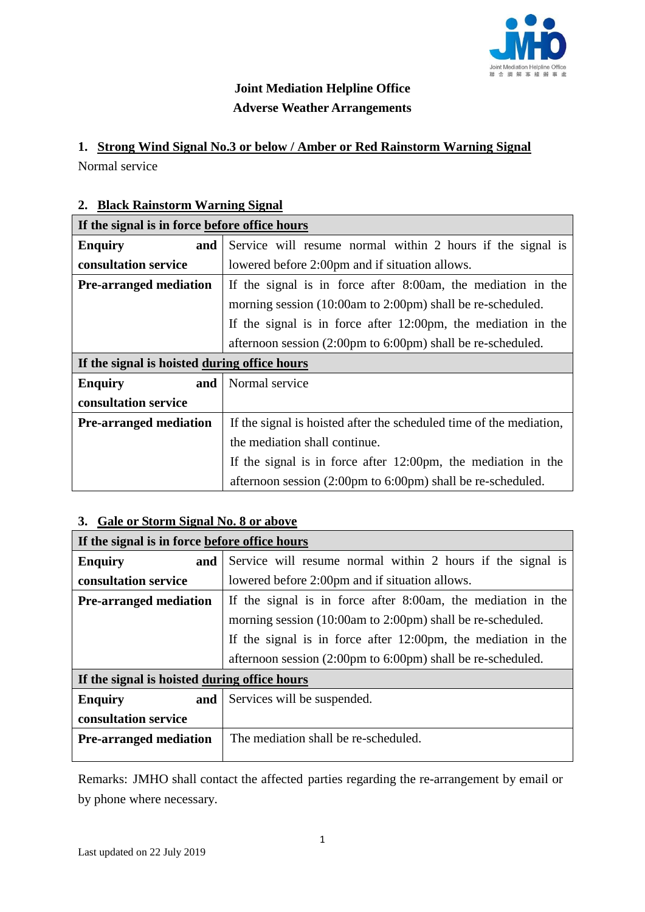

# **Joint Mediation Helpline Office Adverse Weather Arrangements**

#### **1. Strong Wind Signal No.3 or below / Amber or Red Rainstorm Warning Signal**

Normal service

### **2. Black Rainstorm Warning Signal**

| If the signal is in force before office hours |                                                                          |  |
|-----------------------------------------------|--------------------------------------------------------------------------|--|
| <b>Enquiry</b><br>and                         | Service will resume normal within 2 hours if the signal is               |  |
| consultation service                          | lowered before 2:00pm and if situation allows.                           |  |
| <b>Pre-arranged mediation</b>                 | If the signal is in force after 8:00am, the mediation in the             |  |
|                                               | morning session (10:00am to 2:00pm) shall be re-scheduled.               |  |
|                                               | If the signal is in force after $12:00 \text{pm}$ , the mediation in the |  |
|                                               | afternoon session (2:00pm to 6:00pm) shall be re-scheduled.              |  |
| If the signal is hoisted during office hours  |                                                                          |  |
| <b>Enquiry</b><br>and                         | Normal service                                                           |  |
| consultation service                          |                                                                          |  |
| <b>Pre-arranged mediation</b>                 | If the signal is hoisted after the scheduled time of the mediation,      |  |
|                                               | the mediation shall continue.                                            |  |
|                                               | If the signal is in force after $12:00 \text{pm}$ , the mediation in the |  |
|                                               | afternoon session (2:00pm to 6:00pm) shall be re-scheduled.              |  |

### **3. Gale or Storm Signal No. 8 or above**

| If the signal is in force before office hours |                                                                          |
|-----------------------------------------------|--------------------------------------------------------------------------|
| <b>Enquiry</b><br>and                         | Service will resume normal within 2 hours if the signal is               |
| consultation service                          | lowered before 2:00pm and if situation allows.                           |
| <b>Pre-arranged mediation</b>                 | If the signal is in force after 8:00am, the mediation in the             |
|                                               | morning session (10:00am to 2:00pm) shall be re-scheduled.               |
|                                               | If the signal is in force after $12:00 \text{pm}$ , the mediation in the |
|                                               | afternoon session (2:00pm to 6:00pm) shall be re-scheduled.              |
| If the signal is hoisted during office hours  |                                                                          |
| <b>Enquiry</b><br>and                         | Services will be suspended.                                              |
| consultation service                          |                                                                          |
| <b>Pre-arranged mediation</b>                 | The mediation shall be re-scheduled.                                     |
|                                               |                                                                          |

Remarks: JMHO shall contact the affected parties regarding the re-arrangement by email or by phone where necessary.